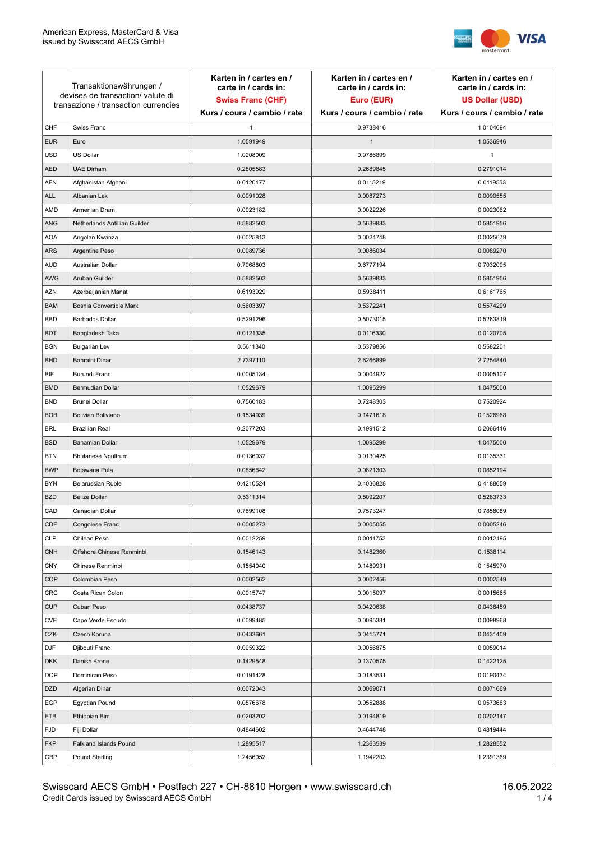

| Transaktionswährungen /<br>devises de transaction/valute di<br>transazione / transaction currencies |                               | Karten in / cartes en /<br>carte in / cards in:<br><b>Swiss Franc (CHF)</b> | Karten in / cartes en /<br>carte in / cards in:<br>Euro (EUR) | Karten in / cartes en /<br>carte in / cards in:<br><b>US Dollar (USD)</b> |
|-----------------------------------------------------------------------------------------------------|-------------------------------|-----------------------------------------------------------------------------|---------------------------------------------------------------|---------------------------------------------------------------------------|
|                                                                                                     |                               | Kurs / cours / cambio / rate                                                | Kurs / cours / cambio / rate                                  | Kurs / cours / cambio / rate                                              |
| CHF                                                                                                 | Swiss Franc                   | $\mathbf{1}$                                                                | 0.9738416                                                     | 1.0104694                                                                 |
| <b>EUR</b>                                                                                          | Euro                          | 1.0591949                                                                   | $\mathbf{1}$                                                  | 1.0536946                                                                 |
| <b>USD</b>                                                                                          | <b>US Dollar</b>              | 1.0208009                                                                   | 0.9786899                                                     | 1                                                                         |
| <b>AED</b>                                                                                          | <b>UAE Dirham</b>             | 0.2805583                                                                   | 0.2689845                                                     | 0.2791014                                                                 |
| <b>AFN</b>                                                                                          | Afghanistan Afghani           | 0.0120177                                                                   | 0.0115219                                                     | 0.0119553                                                                 |
| <b>ALL</b>                                                                                          | Albanian Lek                  | 0.0091028                                                                   | 0.0087273                                                     | 0.0090555                                                                 |
| AMD                                                                                                 | Armenian Dram                 | 0.0023182                                                                   | 0.0022226                                                     | 0.0023062                                                                 |
| ANG                                                                                                 | Netherlands Antillian Guilder | 0.5882503                                                                   | 0.5639833                                                     | 0.5851956                                                                 |
| <b>AOA</b>                                                                                          | Angolan Kwanza                | 0.0025813                                                                   | 0.0024748                                                     | 0.0025679                                                                 |
| ARS                                                                                                 | Argentine Peso                | 0.0089736                                                                   | 0.0086034                                                     | 0.0089270                                                                 |
| <b>AUD</b>                                                                                          | Australian Dollar             | 0.7068803                                                                   | 0.6777194                                                     | 0.7032095                                                                 |
| AWG                                                                                                 | Aruban Guilder                | 0.5882503                                                                   | 0.5639833                                                     | 0.5851956                                                                 |
| <b>AZN</b>                                                                                          | Azerbaijanian Manat           | 0.6193929                                                                   | 0.5938411                                                     | 0.6161765                                                                 |
| <b>BAM</b>                                                                                          | Bosnia Convertible Mark       | 0.5603397                                                                   | 0.5372241                                                     | 0.5574299                                                                 |
| <b>BBD</b>                                                                                          | <b>Barbados Dollar</b>        | 0.5291296                                                                   | 0.5073015                                                     | 0.5263819                                                                 |
| <b>BDT</b>                                                                                          | Bangladesh Taka               | 0.0121335                                                                   | 0.0116330                                                     | 0.0120705                                                                 |
| <b>BGN</b>                                                                                          | <b>Bulgarian Lev</b>          | 0.5611340                                                                   | 0.5379856                                                     | 0.5582201                                                                 |
| <b>BHD</b>                                                                                          | Bahraini Dinar                | 2.7397110                                                                   | 2.6266899                                                     | 2.7254840                                                                 |
| BIF                                                                                                 | Burundi Franc                 | 0.0005134                                                                   | 0.0004922                                                     | 0.0005107                                                                 |
| <b>BMD</b>                                                                                          | Bermudian Dollar              | 1.0529679                                                                   | 1.0095299                                                     | 1.0475000                                                                 |
| <b>BND</b>                                                                                          | <b>Brunei Dollar</b>          | 0.7560183                                                                   | 0.7248303                                                     | 0.7520924                                                                 |
| <b>BOB</b>                                                                                          | Bolivian Boliviano            | 0.1534939                                                                   | 0.1471618                                                     | 0.1526968                                                                 |
| <b>BRL</b>                                                                                          | <b>Brazilian Real</b>         | 0.2077203                                                                   | 0.1991512                                                     | 0.2066416                                                                 |
| <b>BSD</b>                                                                                          | <b>Bahamian Dollar</b>        | 1.0529679                                                                   | 1.0095299                                                     | 1.0475000                                                                 |
| <b>BTN</b>                                                                                          | <b>Bhutanese Ngultrum</b>     | 0.0136037                                                                   | 0.0130425                                                     | 0.0135331                                                                 |
| <b>BWP</b>                                                                                          | Botswana Pula                 | 0.0856642                                                                   | 0.0821303                                                     | 0.0852194                                                                 |
| <b>BYN</b>                                                                                          | Belarussian Ruble             | 0.4210524                                                                   | 0.4036828                                                     | 0.4188659                                                                 |
| <b>BZD</b>                                                                                          | <b>Belize Dollar</b>          | 0.5311314                                                                   | 0.5092207                                                     | 0.5283733                                                                 |
| CAD                                                                                                 | Canadian Dollar               | 0.7899108                                                                   | 0.7573247                                                     | 0.7858089                                                                 |
| CDF                                                                                                 | Congolese Franc               | 0.0005273                                                                   | 0.0005055                                                     | 0.0005246                                                                 |
| <b>CLP</b>                                                                                          | Chilean Peso                  | 0.0012259                                                                   | 0.0011753                                                     | 0.0012195                                                                 |
| <b>CNH</b>                                                                                          | Offshore Chinese Renminbi     | 0.1546143                                                                   | 0.1482360                                                     | 0.1538114                                                                 |
| <b>CNY</b>                                                                                          | Chinese Renminbi              | 0.1554040                                                                   | 0.1489931                                                     | 0.1545970                                                                 |
| <b>COP</b>                                                                                          | Colombian Peso                | 0.0002562                                                                   | 0.0002456                                                     | 0.0002549                                                                 |
| CRC                                                                                                 | Costa Rican Colon             | 0.0015747                                                                   | 0.0015097                                                     | 0.0015665                                                                 |
| <b>CUP</b>                                                                                          | Cuban Peso                    | 0.0438737                                                                   | 0.0420638                                                     | 0.0436459                                                                 |
| CVE                                                                                                 | Cape Verde Escudo             | 0.0099485                                                                   | 0.0095381                                                     | 0.0098968                                                                 |
| CZK                                                                                                 | Czech Koruna                  | 0.0433661                                                                   | 0.0415771                                                     | 0.0431409                                                                 |
| <b>DJF</b>                                                                                          | Djibouti Franc                | 0.0059322                                                                   | 0.0056875                                                     | 0.0059014                                                                 |
| <b>DKK</b>                                                                                          | Danish Krone                  | 0.1429548                                                                   | 0.1370575                                                     | 0.1422125                                                                 |
| <b>DOP</b>                                                                                          | Dominican Peso                | 0.0191428                                                                   | 0.0183531                                                     | 0.0190434                                                                 |
| <b>DZD</b>                                                                                          | Algerian Dinar                | 0.0072043                                                                   | 0.0069071                                                     | 0.0071669                                                                 |
| EGP                                                                                                 | Egyptian Pound                | 0.0576678                                                                   | 0.0552888                                                     | 0.0573683                                                                 |
| ETB                                                                                                 | Ethiopian Birr                | 0.0203202                                                                   | 0.0194819                                                     | 0.0202147                                                                 |
| <b>FJD</b>                                                                                          | Fiji Dollar                   | 0.4844602                                                                   | 0.4644748                                                     | 0.4819444                                                                 |
| <b>FKP</b>                                                                                          | Falkland Islands Pound        | 1.2895517                                                                   | 1.2363539                                                     | 1.2828552                                                                 |
| GBP                                                                                                 | Pound Sterling                | 1.2456052                                                                   | 1.1942203                                                     | 1.2391369                                                                 |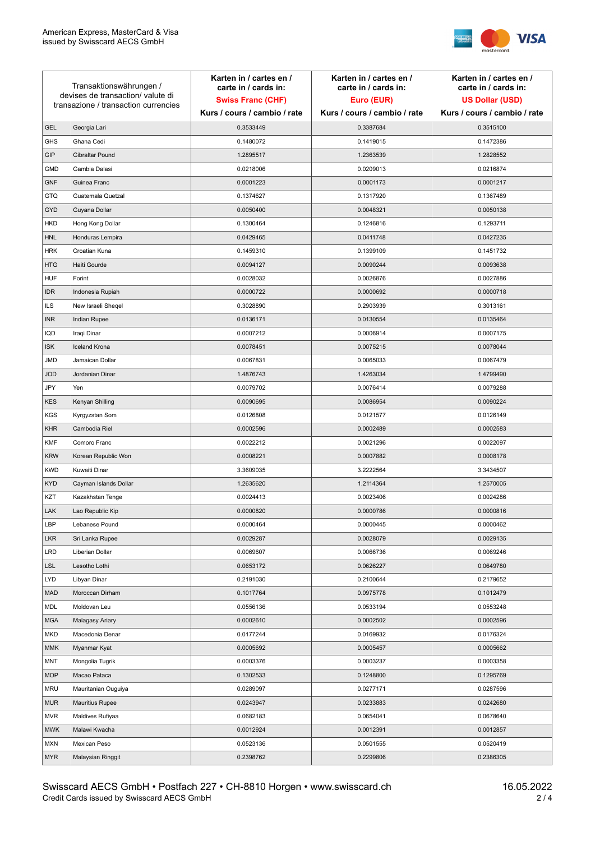

| Transaktionswährungen /<br>devises de transaction/ valute di<br>transazione / transaction currencies |                        | Karten in / cartes en /<br>carte in / cards in: | Karten in / cartes en /<br>carte in / cards in: | Karten in / cartes en /<br>carte in / cards in: |
|------------------------------------------------------------------------------------------------------|------------------------|-------------------------------------------------|-------------------------------------------------|-------------------------------------------------|
|                                                                                                      |                        | <b>Swiss Franc (CHF)</b>                        | Euro (EUR)                                      | <b>US Dollar (USD)</b>                          |
|                                                                                                      |                        | Kurs / cours / cambio / rate                    | Kurs / cours / cambio / rate                    | Kurs / cours / cambio / rate                    |
| <b>GEL</b>                                                                                           | Georgia Lari           | 0.3533449                                       | 0.3387684                                       | 0.3515100                                       |
| <b>GHS</b>                                                                                           | Ghana Cedi             | 0.1480072                                       | 0.1419015                                       | 0.1472386                                       |
| GIP                                                                                                  | Gibraltar Pound        | 1.2895517                                       | 1.2363539                                       | 1.2828552                                       |
| <b>GMD</b>                                                                                           | Gambia Dalasi          | 0.0218006                                       | 0.0209013                                       | 0.0216874                                       |
| <b>GNF</b>                                                                                           | Guinea Franc           | 0.0001223                                       | 0.0001173                                       | 0.0001217                                       |
| <b>GTQ</b>                                                                                           | Guatemala Quetzal      | 0.1374627                                       | 0.1317920                                       | 0.1367489                                       |
| GYD                                                                                                  | Guyana Dollar          | 0.0050400                                       | 0.0048321                                       | 0.0050138                                       |
| <b>HKD</b>                                                                                           | Hong Kong Dollar       | 0.1300464                                       | 0.1246816                                       | 0.1293711                                       |
| <b>HNL</b>                                                                                           | Honduras Lempira       | 0.0429465                                       | 0.0411748                                       | 0.0427235                                       |
| <b>HRK</b>                                                                                           | Croatian Kuna          | 0.1459310                                       | 0.1399109                                       | 0.1451732                                       |
| <b>HTG</b>                                                                                           | Haiti Gourde           | 0.0094127                                       | 0.0090244                                       | 0.0093638                                       |
| <b>HUF</b>                                                                                           | Forint                 | 0.0028032                                       | 0.0026876                                       | 0.0027886                                       |
| <b>IDR</b>                                                                                           | Indonesia Rupiah       | 0.0000722                                       | 0.0000692                                       | 0.0000718                                       |
| <b>ILS</b>                                                                                           | New Israeli Sheqel     | 0.3028890                                       | 0.2903939                                       | 0.3013161                                       |
| <b>INR</b>                                                                                           | Indian Rupee           | 0.0136171                                       | 0.0130554                                       | 0.0135464                                       |
| IQD                                                                                                  | Iraqi Dinar            | 0.0007212                                       | 0.0006914                                       | 0.0007175                                       |
| <b>ISK</b>                                                                                           | <b>Iceland Krona</b>   | 0.0078451                                       | 0.0075215                                       | 0.0078044                                       |
| JMD                                                                                                  | Jamaican Dollar        | 0.0067831                                       | 0.0065033                                       | 0.0067479                                       |
| <b>JOD</b>                                                                                           | Jordanian Dinar        | 1.4876743                                       | 1.4263034                                       | 1.4799490                                       |
| JPY                                                                                                  | Yen                    | 0.0079702                                       | 0.0076414                                       | 0.0079288                                       |
| <b>KES</b>                                                                                           | Kenyan Shilling        | 0.0090695                                       | 0.0086954                                       | 0.0090224                                       |
| KGS                                                                                                  | Kyrgyzstan Som         | 0.0126808                                       | 0.0121577                                       | 0.0126149                                       |
| <b>KHR</b>                                                                                           | Cambodia Riel          | 0.0002596                                       | 0.0002489                                       | 0.0002583                                       |
| KMF                                                                                                  | Comoro Franc           | 0.0022212                                       | 0.0021296                                       | 0.0022097                                       |
| <b>KRW</b>                                                                                           | Korean Republic Won    | 0.0008221                                       | 0.0007882                                       | 0.0008178                                       |
| <b>KWD</b>                                                                                           | Kuwaiti Dinar          | 3.3609035                                       | 3.2222564                                       | 3.3434507                                       |
| <b>KYD</b>                                                                                           | Cayman Islands Dollar  | 1.2635620                                       | 1.2114364                                       | 1.2570005                                       |
| KZT                                                                                                  | Kazakhstan Tenge       | 0.0024413                                       | 0.0023406                                       | 0.0024286                                       |
| LAK                                                                                                  | Lao Republic Kip       | 0.0000820                                       | 0.0000786                                       | 0.0000816                                       |
| LBP                                                                                                  | Lebanese Pound         | 0.0000464                                       | 0.0000445                                       | 0.0000462                                       |
| <b>LKR</b>                                                                                           | Sri Lanka Rupee        | 0.0029287                                       | 0.0028079                                       | 0.0029135                                       |
| <b>LRD</b>                                                                                           | Liberian Dollar        | 0.0069607                                       | 0.0066736                                       | 0.0069246                                       |
| <b>LSL</b>                                                                                           | Lesotho Lothi          | 0.0653172                                       | 0.0626227                                       | 0.0649780                                       |
| LYD                                                                                                  | Libyan Dinar           | 0.2191030                                       | 0.2100644                                       | 0.2179652                                       |
| <b>MAD</b>                                                                                           | Moroccan Dirham        | 0.1017764                                       | 0.0975778                                       | 0.1012479                                       |
| MDL                                                                                                  | Moldovan Leu           | 0.0556136                                       | 0.0533194                                       | 0.0553248                                       |
| <b>MGA</b>                                                                                           | Malagasy Ariary        | 0.0002610                                       | 0.0002502                                       | 0.0002596                                       |
| MKD                                                                                                  | Macedonia Denar        | 0.0177244                                       | 0.0169932                                       | 0.0176324                                       |
| MMK                                                                                                  | Myanmar Kyat           | 0.0005692                                       | 0.0005457                                       | 0.0005662                                       |
| <b>MNT</b>                                                                                           | Mongolia Tugrik        | 0.0003376                                       | 0.0003237                                       | 0.0003358                                       |
| <b>MOP</b>                                                                                           | Macao Pataca           | 0.1302533                                       | 0.1248800                                       | 0.1295769                                       |
| <b>MRU</b>                                                                                           | Mauritanian Ouguiya    | 0.0289097                                       | 0.0277171                                       | 0.0287596                                       |
| <b>MUR</b>                                                                                           | <b>Mauritius Rupee</b> | 0.0243947                                       | 0.0233883                                       | 0.0242680                                       |
| <b>MVR</b>                                                                                           | Maldives Rufiyaa       | 0.0682183                                       | 0.0654041                                       | 0.0678640                                       |
| <b>MWK</b>                                                                                           | Malawi Kwacha          | 0.0012924                                       | 0.0012391                                       | 0.0012857                                       |
| MXN                                                                                                  | Mexican Peso           | 0.0523136                                       | 0.0501555                                       | 0.0520419                                       |
| <b>MYR</b>                                                                                           | Malaysian Ringgit      | 0.2398762                                       | 0.2299806                                       | 0.2386305                                       |
|                                                                                                      |                        |                                                 |                                                 |                                                 |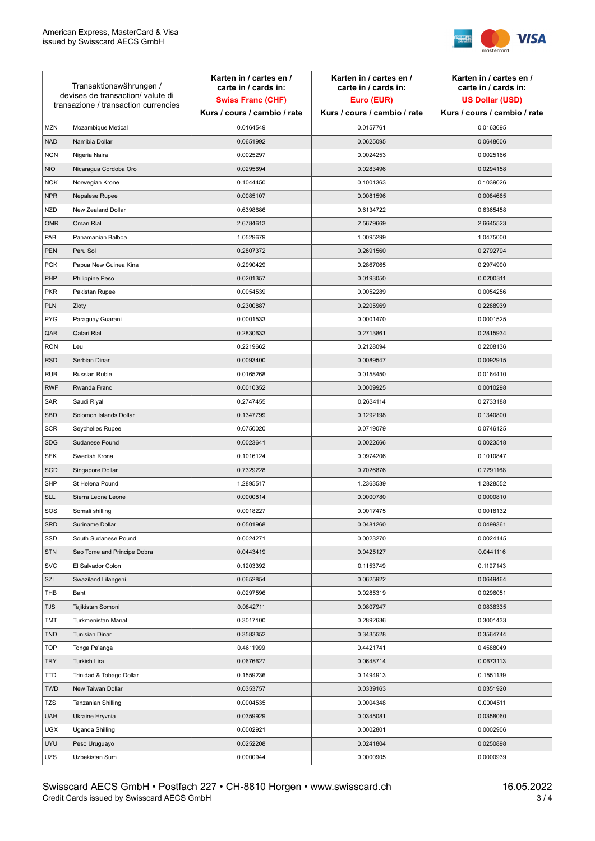

| Transaktionswährungen /<br>devises de transaction/valute di<br>transazione / transaction currencies |                             | Karten in / cartes en /<br>carte in / cards in:<br><b>Swiss Franc (CHF)</b> | Karten in / cartes en /<br>carte in / cards in:<br>Euro (EUR) | Karten in / cartes en /<br>carte in / cards in:<br><b>US Dollar (USD)</b> |
|-----------------------------------------------------------------------------------------------------|-----------------------------|-----------------------------------------------------------------------------|---------------------------------------------------------------|---------------------------------------------------------------------------|
|                                                                                                     |                             | Kurs / cours / cambio / rate                                                | Kurs / cours / cambio / rate                                  | Kurs / cours / cambio / rate                                              |
| <b>MZN</b>                                                                                          | Mozambique Metical          | 0.0164549                                                                   | 0.0157761                                                     | 0.0163695                                                                 |
| <b>NAD</b>                                                                                          | Namibia Dollar              | 0.0651992                                                                   | 0.0625095                                                     | 0.0648606                                                                 |
| <b>NGN</b>                                                                                          | Nigeria Naira               | 0.0025297                                                                   | 0.0024253                                                     | 0.0025166                                                                 |
| <b>NIO</b>                                                                                          | Nicaragua Cordoba Oro       | 0.0295694                                                                   | 0.0283496                                                     | 0.0294158                                                                 |
| <b>NOK</b>                                                                                          | Norwegian Krone             | 0.1044450                                                                   | 0.1001363                                                     | 0.1039026                                                                 |
| <b>NPR</b>                                                                                          | Nepalese Rupee              | 0.0085107                                                                   | 0.0081596                                                     | 0.0084665                                                                 |
| <b>NZD</b>                                                                                          | New Zealand Dollar          | 0.6398686                                                                   | 0.6134722                                                     | 0.6365458                                                                 |
| <b>OMR</b>                                                                                          | Oman Rial                   | 2.6784613                                                                   | 2.5679669                                                     | 2.6645523                                                                 |
| PAB                                                                                                 | Panamanian Balboa           | 1.0529679                                                                   | 1.0095299                                                     | 1.0475000                                                                 |
| PEN                                                                                                 | Peru Sol                    | 0.2807372                                                                   | 0.2691560                                                     | 0.2792794                                                                 |
| <b>PGK</b>                                                                                          | Papua New Guinea Kina       | 0.2990429                                                                   | 0.2867065                                                     | 0.2974900                                                                 |
| PHP                                                                                                 | Philippine Peso             | 0.0201357                                                                   | 0.0193050                                                     | 0.0200311                                                                 |
| <b>PKR</b>                                                                                          | Pakistan Rupee              | 0.0054539                                                                   | 0.0052289                                                     | 0.0054256                                                                 |
| <b>PLN</b>                                                                                          | Zloty                       | 0.2300887                                                                   | 0.2205969                                                     | 0.2288939                                                                 |
| <b>PYG</b>                                                                                          | Paraguay Guarani            | 0.0001533                                                                   | 0.0001470                                                     | 0.0001525                                                                 |
| QAR                                                                                                 | Qatari Rial                 | 0.2830633                                                                   | 0.2713861                                                     | 0.2815934                                                                 |
| <b>RON</b>                                                                                          | Leu                         | 0.2219662                                                                   | 0.2128094                                                     | 0.2208136                                                                 |
| <b>RSD</b>                                                                                          | Serbian Dinar               | 0.0093400                                                                   | 0.0089547                                                     | 0.0092915                                                                 |
| <b>RUB</b>                                                                                          | <b>Russian Ruble</b>        | 0.0165268                                                                   | 0.0158450                                                     | 0.0164410                                                                 |
| <b>RWF</b>                                                                                          | Rwanda Franc                | 0.0010352                                                                   | 0.0009925                                                     | 0.0010298                                                                 |
| SAR                                                                                                 | Saudi Riyal                 | 0.2747455                                                                   | 0.2634114                                                     | 0.2733188                                                                 |
| <b>SBD</b>                                                                                          | Solomon Islands Dollar      | 0.1347799                                                                   | 0.1292198                                                     | 0.1340800                                                                 |
| <b>SCR</b>                                                                                          | Seychelles Rupee            | 0.0750020                                                                   | 0.0719079                                                     | 0.0746125                                                                 |
| <b>SDG</b>                                                                                          | Sudanese Pound              | 0.0023641                                                                   | 0.0022666                                                     | 0.0023518                                                                 |
| <b>SEK</b>                                                                                          | Swedish Krona               | 0.1016124                                                                   | 0.0974206                                                     | 0.1010847                                                                 |
| SGD                                                                                                 | Singapore Dollar            | 0.7329228                                                                   | 0.7026876                                                     | 0.7291168                                                                 |
| <b>SHP</b>                                                                                          | St Helena Pound             | 1.2895517                                                                   | 1.2363539                                                     | 1.2828552                                                                 |
| <b>SLL</b>                                                                                          | Sierra Leone Leone          | 0.0000814                                                                   | 0.0000780                                                     | 0.0000810                                                                 |
| SOS                                                                                                 | Somali shilling             | 0.0018227                                                                   | 0.0017475                                                     | 0.0018132                                                                 |
| <b>SRD</b>                                                                                          | Suriname Dollar             | 0.0501968                                                                   | 0.0481260                                                     | 0.0499361                                                                 |
| SSD                                                                                                 | South Sudanese Pound        | 0.0024271                                                                   | 0.0023270                                                     | 0.0024145                                                                 |
| <b>STN</b>                                                                                          | Sao Tome and Principe Dobra | 0.0443419                                                                   | 0.0425127                                                     | 0.0441116                                                                 |
| <b>SVC</b>                                                                                          | El Salvador Colon           | 0.1203392                                                                   | 0.1153749                                                     | 0.1197143                                                                 |
| SZL                                                                                                 | Swaziland Lilangeni         | 0.0652854                                                                   | 0.0625922                                                     | 0.0649464                                                                 |
| THB                                                                                                 | Baht                        | 0.0297596                                                                   | 0.0285319                                                     | 0.0296051                                                                 |
| <b>TJS</b>                                                                                          | Tajikistan Somoni           | 0.0842711                                                                   | 0.0807947                                                     | 0.0838335                                                                 |
| TMT                                                                                                 | Turkmenistan Manat          | 0.3017100                                                                   | 0.2892636                                                     | 0.3001433                                                                 |
| <b>TND</b>                                                                                          | <b>Tunisian Dinar</b>       | 0.3583352                                                                   | 0.3435528                                                     | 0.3564744                                                                 |
| <b>TOP</b>                                                                                          | Tonga Pa'anga               | 0.4611999                                                                   | 0.4421741                                                     | 0.4588049                                                                 |
| <b>TRY</b>                                                                                          | Turkish Lira                | 0.0676627                                                                   | 0.0648714                                                     | 0.0673113                                                                 |
| TTD                                                                                                 | Trinidad & Tobago Dollar    | 0.1559236                                                                   | 0.1494913                                                     | 0.1551139                                                                 |
| <b>TWD</b>                                                                                          | New Taiwan Dollar           | 0.0353757                                                                   | 0.0339163                                                     | 0.0351920                                                                 |
| TZS                                                                                                 | Tanzanian Shilling          | 0.0004535                                                                   | 0.0004348                                                     | 0.0004511                                                                 |
| <b>UAH</b>                                                                                          | Ukraine Hryvnia             | 0.0359929                                                                   | 0.0345081                                                     | 0.0358060                                                                 |
| <b>UGX</b>                                                                                          | Uganda Shilling             | 0.0002921                                                                   | 0.0002801                                                     | 0.0002906                                                                 |
| <b>UYU</b>                                                                                          | Peso Uruguayo               | 0.0252208                                                                   | 0.0241804                                                     | 0.0250898                                                                 |
| UZS                                                                                                 | Uzbekistan Sum              | 0.0000944                                                                   | 0.0000905                                                     | 0.0000939                                                                 |